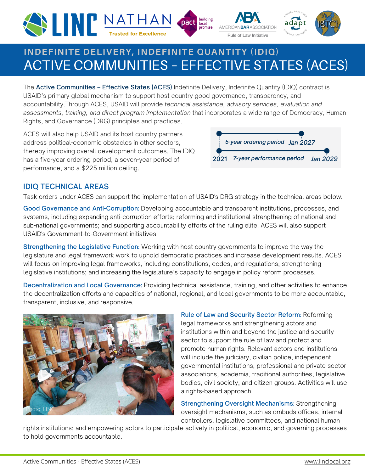





# ACTIVE COMMUNITIES – EFFECTIVE STATES (ACES) **INDEFINITE DELIVERY, INDEFINITE QUANTITY (IDIQ)**

The Active Communities - Effective States (ACES) Indefinite Delivery, Indefinite Quantity (IDIQ) contract is USAID's primary global mechanism to support host country good governance, transparency, and accountability.Through ACES, USAID will provide *technical assistance, advisory services, evaluation and assessments, training, and direct program implementation* that incorporates a wide range of Democracy, Human Rights, and Governance (DRG) principles and practices.

ACES will also help USAID and its host country partners address political-economic obstacles in other sectors, thereby improving overall development outcomes. The IDIQ has a five-year ordering period, a seven-year period of performance, and a \$225 million ceiling.



# IDIQ TECHNICAL AREAS

Task orders under ACES can support the implementation of USAID's DRG strategy in the technical areas below:

Good Governance and Anti-Corruption: Developing accountable and transparent institutions, processes, and systems, including expanding anti-corruption efforts; reforming and institutional strengthening of national and sub-national governments; and supporting accountability efforts of the ruling elite. ACES will also support USAID's Government-to-Government initiatives.

Strengthening the Legislative Function: Working with host country governments to improve the way the legislature and legal framework work to uphold democratic practices and increase development results. ACES will focus on improving legal frameworks, including constitutions, codes, and regulations; strengthening legislative institutions; and increasing the legislature's capacity to engage in policy reform processes.

Decentralization and Local Governance: Providing technical assistance, training, and other activities to enhance the decentralization efforts and capacities of national, regional, and local governments to be more accountable, transparent, inclusive, and responsive.



Rule of Law and Security Sector Reform: Reforming legal frameworks and strengthening actors and institutions within and beyond the justice and security sector to support the rule of law and protect and promote human rights. Relevant actors and institutions will include the judiciary, civilian police, independent governmental institutions, professional and private sector associations, academia, traditional authorities, legislative bodies, civil society, and citizen groups. Activities will use a rights-based approach.

Strengthening Oversight Mechanisms: Strengthening oversight mechanisms, such as ombuds offices, internal controllers, legislative committees, and national human

rights institutions; and empowering actors to participate actively in political, economic, and governing processes to hold governments accountable.